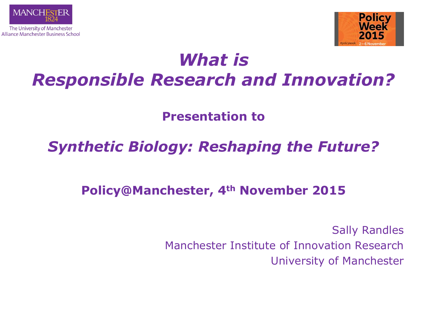



# *What is Responsible Research and Innovation?*

**Presentation to** 

## *Synthetic Biology: Reshaping the Future?*

### **Policy@Manchester, 4th November 2015**

Sally Randles Manchester Institute of Innovation Research University of Manchester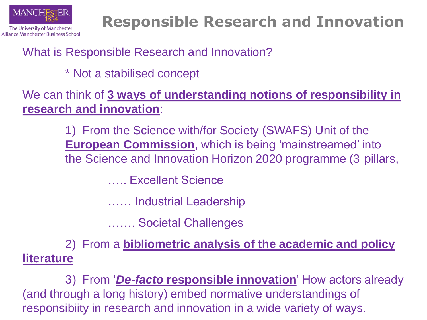

# **Responsible Research and Innovation**

### What is Responsible Research and Innovation?

#### \* Not a stabilised concept

We can think of **3 ways of understanding notions of responsibility in research and innovation**:

> 1) From the Science with/for Society (SWAFS) Unit of the **European Commission**, which is being 'mainstreamed' into the Science and Innovation Horizon 2020 programme (3 pillars,

> > ….. Excellent Science

…… Industrial Leadership

……. Societal Challenges

2) From a **bibliometric analysis of the academic and policy literature**

3) From '*De-facto* **responsible innovation**' How actors already (and through a long history) embed normative understandings of responsibiity in research and innovation in a wide variety of ways.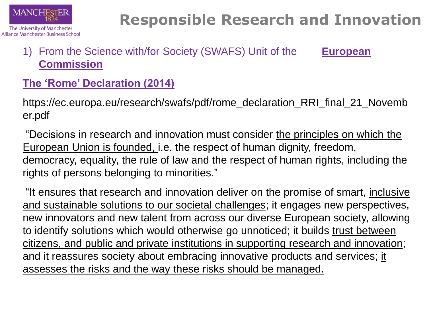

# **Responsible Research and Innovation**

#### 1) From the Science with/for Society (SWAFS) Unit of the **European Commission**

#### **The 'Rome' Declaration (2014)**

https://ec.europa.eu/research/swafs/pdf/rome\_declaration\_RRI\_final\_21\_Novemb er.pdf

"Decisions in research and innovation must consider the principles on which the European Union is founded, i.e. the respect of human dignity, freedom, democracy, equality, the rule of law and the respect of human rights, including the rights of persons belonging to minorities."

"It ensures that research and innovation deliver on the promise of smart, inclusive and sustainable solutions to our societal challenges; it engages new perspectives, new innovators and new talent from across our diverse European society, allowing to identify solutions which would otherwise go unnoticed; it builds trust between citizens, and public and private institutions in supporting research and innovation; and it reassures society about embracing innovative products and services; it assesses the risks and the way these risks should be managed.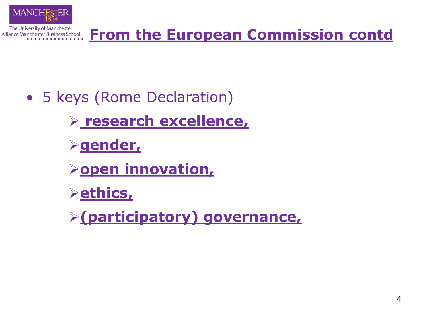

- 5 keys (Rome Declaration)
	- **research excellence,**
	- **gender,**
	- *<u>>open innovation,</u>*
	- **ethics,**
	- **(participatory) governance,**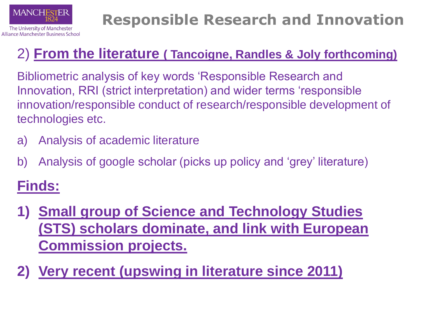

# **Responsible Research and Innovation**

## 2) **From the literature ( Tancoigne, Randles & Joly forthcoming)**

Bibliometric analysis of key words 'Responsible Research and Innovation, RRI (strict interpretation) and wider terms 'responsible innovation/responsible conduct of research/responsible development of technologies etc.

- a) Analysis of academic literature
- b) Analysis of google scholar (picks up policy and 'grey' literature)

## **Finds:**

- **1) Small group of Science and Technology Studies (STS) scholars dominate, and link with European Commission projects.**
- **2) Very recent (upswing in literature since 2011)**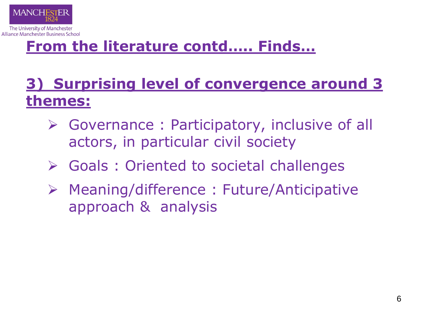

The University of Manchester Alliance Manchester Business School

## **From the literature contd….. Finds…**

## **3) Surprising level of convergence around 3 themes:**

- Governance : Participatory, inclusive of all actors, in particular civil society
- Goals : Oriented to societal challenges
- Meaning/difference : Future/Anticipative approach & analysis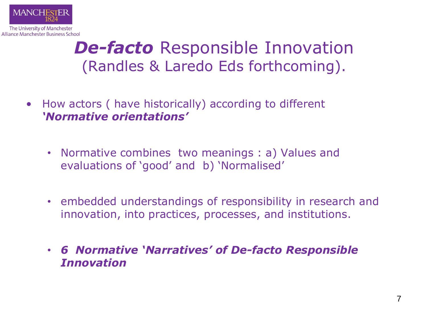

## *De-facto* Responsible Innovation (Randles & Laredo Eds forthcoming).

- How actors ( have historically) according to different *'Normative orientations'* 
	- Normative combines two meanings : a) Values and evaluations of 'good' and b) 'Normalised'
	- embedded understandings of responsibility in research and innovation, into practices, processes, and institutions.
	- *6 Normative 'Narratives' of De-facto Responsible Innovation*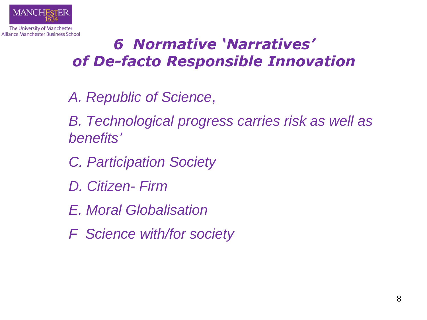

## *6 Normative 'Narratives' of De-facto Responsible Innovation*

- *A. Republic of Science*,
- *B. Technological progress carries risk as well as benefits'*
- *C. Participation Society*
- *D. Citizen- Firm*
- *E. Moral Globalisation*
- *F Science with/for society*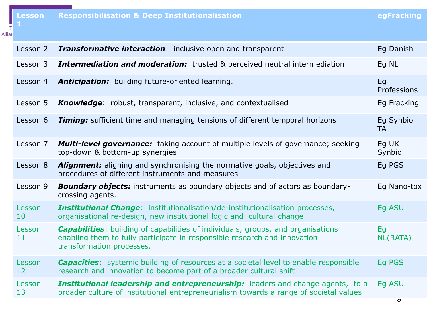| <b>Alliar</b> | Lesson       | <b>Responsibilisation &amp; Deep Institutionalisation</b>                                                                                                                                         | egFracking             |
|---------------|--------------|---------------------------------------------------------------------------------------------------------------------------------------------------------------------------------------------------|------------------------|
|               | Lesson 2     | <b>Transformative interaction:</b> inclusive open and transparent                                                                                                                                 | Eg Danish              |
|               | Lesson 3     | <b>Intermediation and moderation:</b> trusted & perceived neutral intermediation                                                                                                                  | Eg NL                  |
|               | Lesson 4     | Anticipation: building future-oriented learning.                                                                                                                                                  | Eq<br>Professions      |
|               | Lesson 5     | <b>Knowledge:</b> robust, transparent, inclusive, and contextualised                                                                                                                              | Eg Fracking            |
|               | Lesson 6     | <b>Timing:</b> sufficient time and managing tensions of different temporal horizons                                                                                                               | Eg Synbio<br><b>TA</b> |
|               | Lesson 7     | <b>Multi-level governance:</b> taking account of multiple levels of governance; seeking<br>top-down & bottom-up synergies                                                                         | Eq UK<br>Synbio        |
|               | Lesson 8     | <b>Alignment:</b> aligning and synchronising the normative goals, objectives and<br>procedures of different instruments and measures                                                              | Eg PGS                 |
|               | Lesson 9     | <b>Boundary objects:</b> instruments as boundary objects and of actors as boundary-<br>crossing agents.                                                                                           | Eg Nano-tox            |
|               | Lesson<br>10 | <b>Institutional Change:</b> institutionalisation/de-institutionalisation processes,<br>organisational re-design, new institutional logic and cultural change                                     | Eg ASU                 |
|               | Lesson<br>11 | <b>Capabilities:</b> building of capabilities of individuals, groups, and organisations<br>enabling them to fully participate in responsible research and innovation<br>transformation processes. | Eq<br><b>NL(RATA)</b>  |
|               | Lesson<br>12 | <b>Capacities:</b> systemic building of resources at a societal level to enable responsible<br>research and innovation to become part of a broader cultural shift                                 | Eg PGS                 |
|               | Lesson<br>13 | Institutional leadership and entrepreneurship: leaders and change agents, to a<br>broader culture of institutional entrepreneurialism towards a range of societal values                          | Eq ASU                 |
|               |              |                                                                                                                                                                                                   | ৺                      |